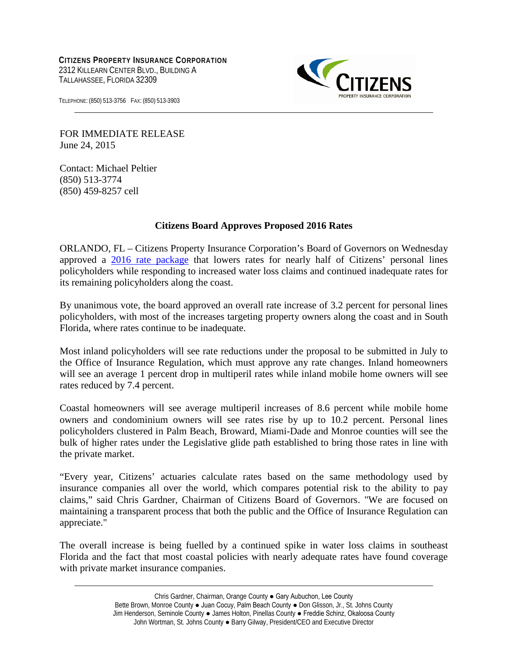**CITIZENS PROPERTY INSURANCE CORPORATION** 2312 KILLEARN CENTER BLVD., BUILDING A TALLAHASSEE, FLORIDA 32309



TELEPHONE: (850) 513-3756 FAX: (850) 513-3903

FOR IMMEDIATE RELEASE June 24, 2015

Contact: Michael Peltier (850) 513-3774 (850) 459-8257 cell

## **Citizens Board Approves Proposed 2016 Rates**

ORLANDO, FL – Citizens Property Insurance Corporation's Board of Governors on Wednesday approved a [2016 rate package](https://www.citizensfla.com/about/mDetails_boardmtgs.cfm?show=PDF&link=/bnc_meet/docs/570/09Ba_ExecSum_2016_Annual_Recommended_Rate_Filing.pdf&event=570&when=Future) that lowers rates for nearly half of Citizens' personal lines policyholders while responding to increased water loss claims and continued inadequate rates for its remaining policyholders along the coast.

By unanimous vote, the board approved an overall rate increase of 3.2 percent for personal lines policyholders, with most of the increases targeting property owners along the coast and in South Florida, where rates continue to be inadequate.

Most inland policyholders will see rate reductions under the proposal to be submitted in July to the Office of Insurance Regulation, which must approve any rate changes. Inland homeowners will see an average 1 percent drop in multiperil rates while inland mobile home owners will see rates reduced by 7.4 percent.

Coastal homeowners will see average multiperil increases of 8.6 percent while mobile home owners and condominium owners will see rates rise by up to 10.2 percent. Personal lines policyholders clustered in Palm Beach, Broward, Miami-Dade and Monroe counties will see the bulk of higher rates under the Legislative glide path established to bring those rates in line with the private market.

"Every year, Citizens' actuaries calculate rates based on the same methodology used by insurance companies all over the world, which compares potential risk to the ability to pay claims," said Chris Gardner, Chairman of Citizens Board of Governors. "We are focused on maintaining a transparent process that both the public and the Office of Insurance Regulation can appreciate."

The overall increase is being fuelled by a continued spike in water loss claims in southeast Florida and the fact that most coastal policies with nearly adequate rates have found coverage with private market insurance companies.